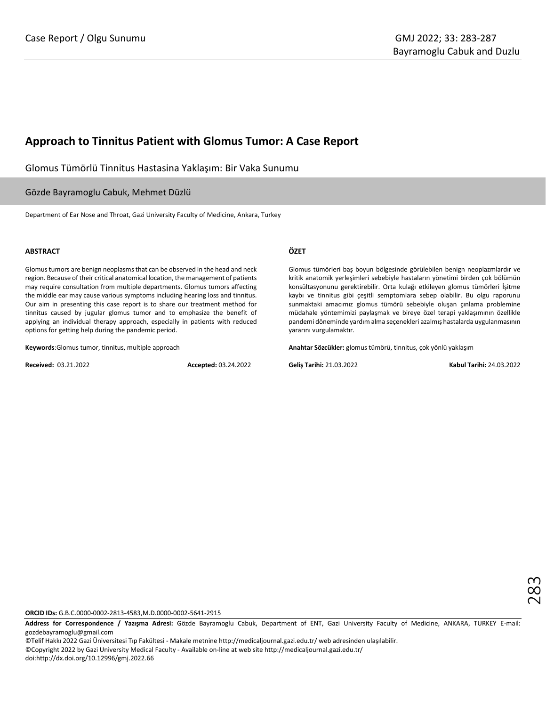## **Approach to Tinnitus Patient with Glomus Tumor: A Case Report**

Glomus Tümörlü Tinnitus Hastasina Yaklaşım: Bir Vaka Sunumu

## Gözde Bayramoglu Cabuk, Mehmet Düzlü

Department of Ear Nose and Throat, Gazi University Faculty of Medicine, Ankara, Turkey

#### **ABSTRACT**

Glomus tumors are benign neoplasms that can be observed in the head and neck region. Because of their critical anatomical location, the management of patients may require consultation from multiple departments. Glomus tumors affecting the middle ear may cause various symptoms including hearing loss and tinnitus. Our aim in presenting this case report is to share our treatment method for tinnitus caused by jugular glomus tumor and to emphasize the benefit of applying an individual therapy approach, especially in patients with reduced options for getting help during the pandemic period.

**Keywords**:Glomus tumor, tinnitus, multiple approach

**Received:** 03.21.2022 **Accepted:** 03.24.2022

#### **ÖZET**

Glomus tümörleri baş boyun bölgesinde görülebilen benign neoplazmlardır ve kritik anatomik yerleşimleri sebebiyle hastaların yönetimi birden çok bölümün konsültasyonunu gerektirebilir. Orta kulağı etkileyen glomus tümörleri İşitme kaybı ve tinnitus gibi çeşitli semptomlara sebep olabilir. Bu olgu raporunu sunmaktaki amacımız glomus tümörü sebebiyle oluşan çınlama problemine müdahale yöntemimizi paylaşmak ve bireye özel terapi yaklaşımının özellikle pandemi döneminde yardım alma seçenekleri azalmış hastalarda uygulanmasının yararını vurgulamaktır.

**Anahtar Sözcükler:** glomus tümörü, tinnitus, çok yönlü yaklaşım

**Geliş Tarihi:** 21.03.2022 **Kabul Tarihi:** 24.03.2022

**ORCID IDs:** G.B.C.0000-0002-2813-4583,M.D.0000-0002-5641-2915

**Address for Correspondence / Yazışma Adresi:** Gözde Bayramoglu Cabuk, Department of ENT, Gazi University Faculty of Medicine, ANKARA, TURKEY E-mail: gozdebayramoglu@gmail.com

©Telif Hakkı 2022 Gazi Üniversitesi Tıp Fakültesi - Makale metnine http://medicaljournal.gazi.edu.tr/ web adresinden ulaşılabilir. ©Copyright 2022 by Gazi University Medical Faculty - Available on-line at web site http://medicaljournal.gazi.edu.tr/ doi:http://dx.doi.org/10.12996/gmj.2022.66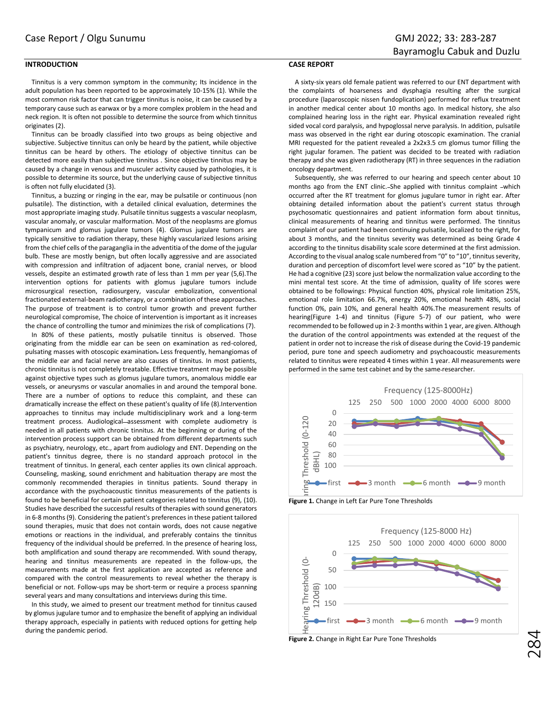## **INTRODUCTION**

Tinnitus is a very common symptom in the community; Its incidence in the adult population has been reported to be approximately 10-15% (1). While the most common risk factor that can trigger tinnitus is noise, it can be caused by a temporary cause such as earwax or by a more complex problem in the head and neck region. It is often not possible to determine the source from which tinnitus originates (2).

Tinnitus can be broadly classified into two groups as being objective and subjective. Subjective tinnitus can only be heard by the patient, while objective tinnitus can be heard by others. The etiology of objective tinnitus can be detected more easily than subjective tinnitus . Since objective tinnitus may be caused by a change in venous and musculer activity caused by pathologies, it is possible to determine its source, but the underlying cause of subjective tinnitus is often not fully elucidated (3).

Tinnitus, a buzzing or ringing in the ear, may be pulsatile or continuous (non pulsatile). The distinction, with a detailed clinical evaluation, determines the most appropriate imaging study. Pulsatile tinnitus suggests a vascular neoplasm, vascular anomaly, or vascular malformation. Most of the neoplasms are glomus tympanicum and glomus jugulare tumors (4). Glomus jugulare tumors are typically sensitive to radiation therapy, these highly vascularized lesions arising from the chief cells of the paraganglia in the adventitia of the dome of the jugular bulb. These are mostly benign, but often locally aggressive and are associated with compression and infiltration of adjacent bone, cranial nerves, or blood vessels, despite an estimated growth rate of less than 1 mm per year (5,6).The intervention options for patients with glomus jugulare tumors include microsurgical resection, radiosurgery, vascular embolization, conventional fractionated external-beam radiotherapy, or a combination of these approaches. The purpose of treatment is to control tumor growth and prevent further neurological compromise, The choice of intervention is important as it increases the chance of controlling the tumor and minimizes the risk of complications (7).

In 80% of these patients, mostly pulsatile tinnitus is observed. Those originating from the middle ear can be seen on examination as red-colored, pulsating masses with otoscopic examination. Less frequently, hemangiomas of the middle ear and facial nerve are also causes of tinnitus. In most patients, chronic tinnitus is not completely treatable. Effective treatment may be possible against objective types such as glomus jugulare tumors, anomalous middle ear vessels, or aneurysms or vascular anomalies in and around the temporal bone. There are a number of options to reduce this complaint, and these can dramatically increase the effect on these patient's quality of life (8).Intervention approaches to tinnitus may include multidisciplinary work and a long-term treatment process. Audiological-assessment with complete audiometry is needed in all patients with chronic tinnitus. At the beginning or during of the intervention process support can be obtained from different departments such as psychiatry, neurology, etc., apart from audiology and ENT. Depending on the patient's tinnitus degree, there is no standard approach protocol in the treatment of tinnitus. In general, each center applies its own clinical approach. Counseling, masking, sound enrichment and habituation therapy are most the commonly recommended therapies in tinnitus patients. Sound therapy in accordance with the psychoacoustic tinnitus measurements of the patients is found to be beneficial for certain patient categories related to tinnitus (9), (10). Studies have described the successful results of therapies with sound generators in 6-8 months (9). Considering the patient's preferences in these patient tailored sound therapies, music that does not contain words, does not cause negative emotions or reactions in the individual, and preferably contains the tinnitus frequency of the individual should be preferred. In the presence of hearing loss, both amplification and sound therapy are recommended. With sound therapy, hearing and tinnitus measurements are repeated in the follow-ups, the measurements made at the first application are accepted as reference and compared with the control measurements to reveal whether the therapy is beneficial or not. Follow-ups may be short-term or require a process spanning several years and many consultations and interviews during this time.

In this study, we aimed to present our treatment method for tinnitus caused by glomus jugulare tumor and to emphasize the benefit of applying an individual therapy approach, especially in patients with reduced options for getting help during the pandemic period.

## **CASE REPORT**

A sixty-six years old female patient was referred to our ENT department with the complaints of hoarseness and dysphagia resulting after the surgical procedure (laparoscopic nissen fundoplication) performed for reflux treatment in another medical center about 10 months ago. In medical history, she also complained hearing loss in the right ear. Physical examination revealed right sided vocal cord paralysis, and hypoglossal nerve paralysis. In addition, pulsatile mass was observed in the right ear during otoscopic examination. The cranial MRI requested for the patient revealed a 2x2x3.5 cm glomus tumor filling the right jugular foramen. The patient was decided to be treated with radiation therapy and she was given radiotherapy (RT) in three sequences in the radiation oncology department.

Subsequently, she was referred to our hearing and speech center about 10 months ago from the ENT clinic. She applied with tinnitus complaint -which occurred after the RT treatment for glomus jugulare tumor in right ear. After obtaining detailed information about the patient's current status through psychosomatic questionnaires and patient information form about tinnitus, clinical measurements of hearing and tinnitus were performed. The tinnitus complaint of our patient had been continuing pulsatile, localized to the right, for about 3 months, and the tinnitus severity was determined as being Grade 4 according to the tinnitus disability scale score determined at the first admission. According to the visual analog scale numbered from "0" to "10", tinnitus severity, duration and perception of discomfort level were scored as "10" by the patient. He had a cognitive (23) score just below the normalization value according to the mini mental test score. At the time of admission, quality of life scores were obtained to be followings: Physical function 40%, physical role limitation 25%, emotional role limitation 66.7%, energy 20%, emotional health 48%, social function 0%, pain 10%, and general health 40%.The measurement results of hearing(Figure 1-4) and tinnitus (Figure 5-7) of our patient, who were recommended to be followed up in 2-3 months within 1 year, are given. Although the duration of the control appointments was extended at the request of the patient in order not to increase the risk of disease during the Covid-19 pandemic period, pure tone and speech audiometry and psychoacoustic measurements related to tinnitus were repeated 4 times within 1 year. All measurements were performed in the same test cabinet and by the same researcher.



**Figure 1.** Change in Left Ear Pure Tone Thresholds



**Figure 2.** Change in Right Ear Pure Tone Thresholds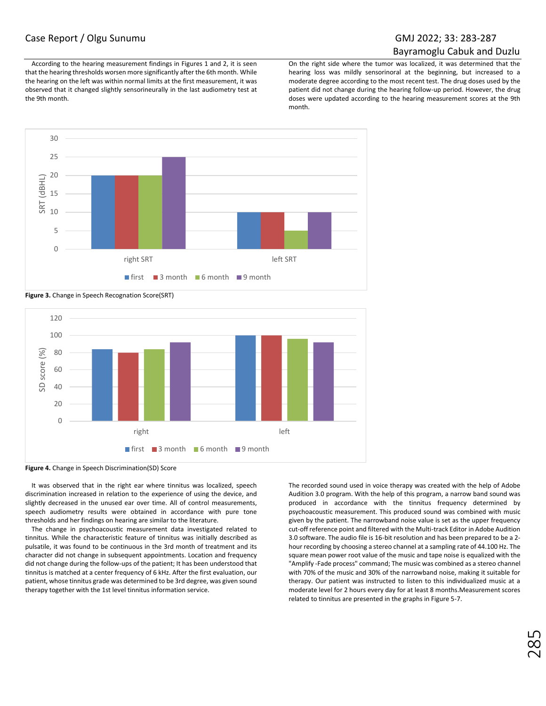## Case Report / Olgu Sunumu GMJ 2022; 33: 283-287

# Bayramoglu Cabuk and Duzlu

According to the hearing measurement findings in Figures 1 and 2, it is seen that the hearing thresholds worsen more significantly after the 6th month. While the hearing on the left was within normal limits at the first measurement, it was observed that it changed slightly sensorineurally in the last audiometry test at the 9th month.

On the right side where the tumor was localized, it was determined that the hearing loss was mildly sensorinoral at the beginning, but increased to a moderate degree according to the most recent test. The drug doses used by the patient did not change during the hearing follow-up period. However, the drug doses were updated according to the hearing measurement scores at the 9th month.



**Figure 3.** Change in Speech Recognation Score(SRT)



**Figure 4.** Change in Speech Discrimination(SD) Score

It was observed that in the right ear where tinnitus was localized, speech discrimination increased in relation to the experience of using the device, and slightly decreased in the unused ear over time. All of control measurements, speech audiometry results were obtained in accordance with pure tone thresholds and her findings on hearing are similar to the literature.

The change in psychoacoustic measurement data investigated related to tinnitus. While the characteristic feature of tinnitus was initially described as pulsatile, it was found to be continuous in the 3rd month of treatment and its character did not change in subsequent appointments. Location and frequency did not change during the follow-ups of the patient; It has been understood that tinnitus is matched at a center frequency of 6 kHz. After the first evaluation, our patient, whose tinnitus grade was determined to be 3rd degree, was given sound therapy together with the 1st level tinnitus information service.

The recorded sound used in voice therapy was created with the help of Adobe Audition 3.0 program. With the help of this program, a narrow band sound was produced in accordance with the tinnitus frequency determined by psychoacoustic measurement. This produced sound was combined with music given by the patient. The narrowband noise value is set as the upper frequency cut-off reference point and filtered with the Multi-track Editor in Adobe Audition 3.0 software. The audio file is 16-bit resolution and has been prepared to be a 2 hour recording by choosing a stereo channel at a sampling rate of 44.100 Hz. The square mean power root value of the music and tape noise is equalized with the "Amplify -Fade process" command; The music was combined as a stereo channel with 70% of the music and 30% of the narrowband noise, making it suitable for therapy. Our patient was instructed to listen to this individualized music at a moderate level for 2 hours every day for at least 8 months.Measurement scores related to tinnitus are presented in the graphs in Figure 5-7.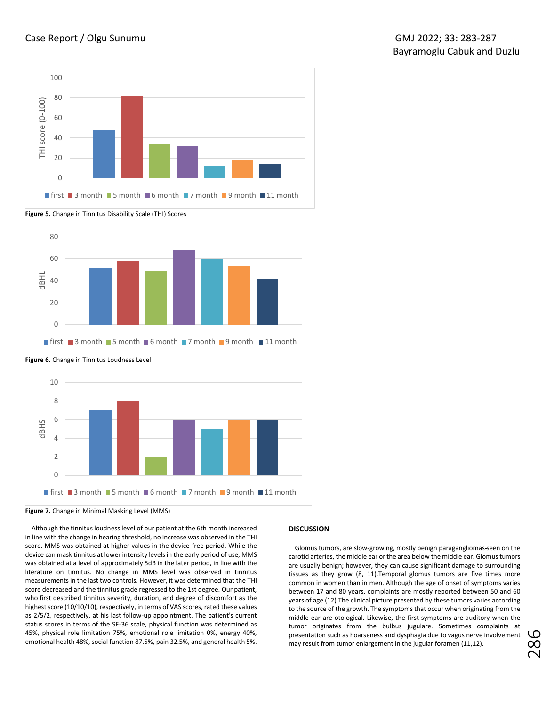

**Figure 5.** Change in Tinnitus Disability Scale (THI) Scores



 $\cap$ 2  $\Delta$ 6 8 10 dBHS  $\blacksquare$  first  $\blacksquare$  3 month  $\blacksquare$  5 month  $\blacksquare$  6 month  $\blacksquare$  7 month  $\blacksquare$  9 month  $\blacksquare$  11 month

**Figure 6.** Change in Tinnitus Loudness Level

**Figure 7.** Change in Minimal Masking Level (MMS)

Although the tinnitus loudness level of our patient at the 6th month increased in line with the change in hearing threshold, no increase was observed in the THI score. MMS was obtained at higher values in the device-free period. While the device can mask tinnitus at lower intensity levels in the early period of use, MMS was obtained at a level of approximately 5dB in the later period, in line with the literature on tinnitus. No change in MMS level was observed in tinnitus measurements in the last two controls. However, it was determined that the THI score decreased and the tinnitus grade regressed to the 1st degree. Our patient, who first described tinnitus severity, duration, and degree of discomfort as the highest score (10/10/10), respectively, in terms of VAS scores, rated these values as 2/5/2, respectively, at his last follow-up appointment. The patient's current status scores in terms of the SF-36 scale, physical function was determined as 45%, physical role limitation 75%, emotional role limitation 0%, energy 40%, emotional health 48%, social function 87.5%, pain 32.5%, and general health 5%.

## **DISCUSSION**

Glomus tumors, are slow-growing, mostly benign paragangliomas seen on the carotid arteries, the middle ear or the area below the middle ear. Glomus tumors are usually benign; however, they can cause significant damage to surrounding tissues as they grow (8, 11).Temporal glomus tumors are five times more common in women than in men. Although the age of onset of symptoms varies between 17 and 80 years, complaints are mostly reported between 50 and 60 years of age (12).The clinical picture presented by these tumors varies according to the source of the growth. The symptoms that occur when originating from the middle ear are otological. Likewise, the first symptoms are auditory when the tumor originates from the bulbus jugulare. Sometimes complaints at presentation such as hoarseness and dysphagia due to vagus nerve involvement may result from tumor enlargement in the jugular foramen (11,12).

286